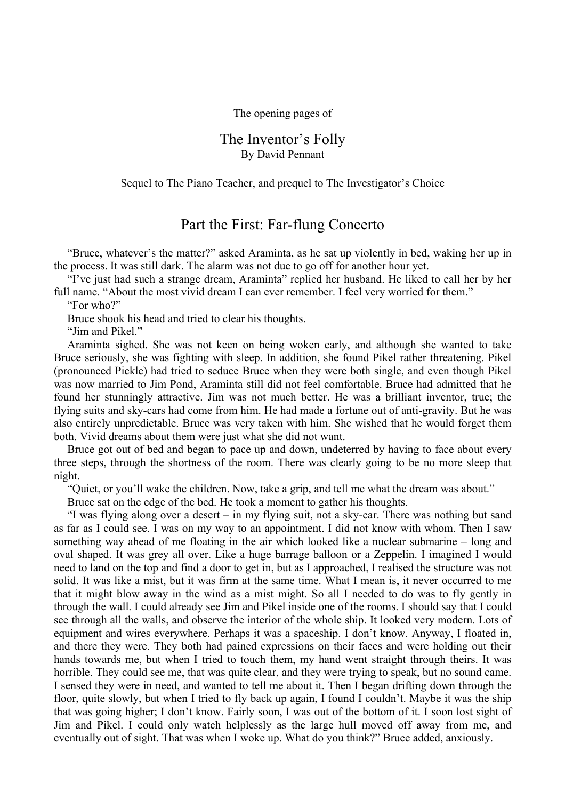The opening pages of

## The Inventor's Folly By David Pennant

## Sequel to The Piano Teacher, and prequel to The Investigator's Choice

## Part the First: Far-flung Concerto

"Bruce, whatever's the matter?" asked Araminta, as he sat up violently in bed, waking her up in the process. It was still dark. The alarm was not due to go off for another hour yet.

"I've just had such a strange dream, Araminta" replied her husband. He liked to call her by her full name. "About the most vivid dream I can ever remember. I feel very worried for them."

"For who?"

Bruce shook his head and tried to clear his thoughts.

"Jim and Pikel."

Araminta sighed. She was not keen on being woken early, and although she wanted to take Bruce seriously, she was fighting with sleep. In addition, she found Pikel rather threatening. Pikel (pronounced Pickle) had tried to seduce Bruce when they were both single, and even though Pikel was now married to Jim Pond, Araminta still did not feel comfortable. Bruce had admitted that he found her stunningly attractive. Jim was not much better. He was a brilliant inventor, true; the flying suits and sky-cars had come from him. He had made a fortune out of anti-gravity. But he was also entirely unpredictable. Bruce was very taken with him. She wished that he would forget them both. Vivid dreams about them were just what she did not want.

Bruce got out of bed and began to pace up and down, undeterred by having to face about every three steps, through the shortness of the room. There was clearly going to be no more sleep that night.

"Quiet, or you'll wake the children. Now, take a grip, and tell me what the dream was about."

Bruce sat on the edge of the bed. He took a moment to gather his thoughts.

"I was flying along over a desert – in my flying suit, not a sky-car. There was nothing but sand as far as I could see. I was on my way to an appointment. I did not know with whom. Then I saw something way ahead of me floating in the air which looked like a nuclear submarine – long and oval shaped. It was grey all over. Like a huge barrage balloon or a Zeppelin. I imagined I would need to land on the top and find a door to get in, but as I approached, I realised the structure was not solid. It was like a mist, but it was firm at the same time. What I mean is, it never occurred to me that it might blow away in the wind as a mist might. So all I needed to do was to fly gently in through the wall. I could already see Jim and Pikel inside one of the rooms. I should say that I could see through all the walls, and observe the interior of the whole ship. It looked very modern. Lots of equipment and wires everywhere. Perhaps it was a spaceship. I don't know. Anyway, I floated in, and there they were. They both had pained expressions on their faces and were holding out their hands towards me, but when I tried to touch them, my hand went straight through theirs. It was horrible. They could see me, that was quite clear, and they were trying to speak, but no sound came. I sensed they were in need, and wanted to tell me about it. Then I began drifting down through the floor, quite slowly, but when I tried to fly back up again, I found I couldn't. Maybe it was the ship that was going higher; I don't know. Fairly soon, I was out of the bottom of it. I soon lost sight of Jim and Pikel. I could only watch helplessly as the large hull moved off away from me, and eventually out of sight. That was when I woke up. What do you think?" Bruce added, anxiously.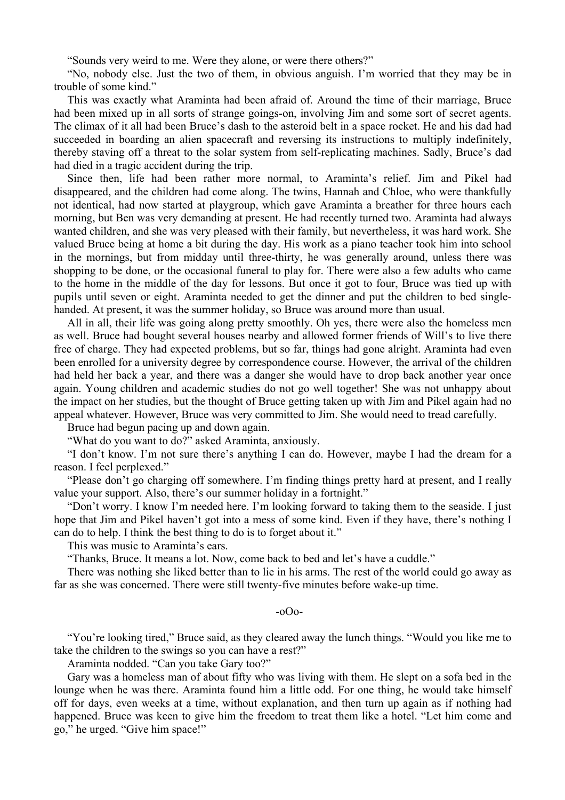"Sounds very weird to me. Were they alone, or were there others?"

"No, nobody else. Just the two of them, in obvious anguish. I'm worried that they may be in trouble of some kind."

This was exactly what Araminta had been afraid of. Around the time of their marriage, Bruce had been mixed up in all sorts of strange goings-on, involving Jim and some sort of secret agents. The climax of it all had been Bruce's dash to the asteroid belt in a space rocket. He and his dad had succeeded in boarding an alien spacecraft and reversing its instructions to multiply indefinitely, thereby staving off a threat to the solar system from self-replicating machines. Sadly, Bruce's dad had died in a tragic accident during the trip.

Since then, life had been rather more normal, to Araminta's relief. Jim and Pikel had disappeared, and the children had come along. The twins, Hannah and Chloe, who were thankfully not identical, had now started at playgroup, which gave Araminta a breather for three hours each morning, but Ben was very demanding at present. He had recently turned two. Araminta had always wanted children, and she was very pleased with their family, but nevertheless, it was hard work. She valued Bruce being at home a bit during the day. His work as a piano teacher took him into school in the mornings, but from midday until three-thirty, he was generally around, unless there was shopping to be done, or the occasional funeral to play for. There were also a few adults who came to the home in the middle of the day for lessons. But once it got to four, Bruce was tied up with pupils until seven or eight. Araminta needed to get the dinner and put the children to bed singlehanded. At present, it was the summer holiday, so Bruce was around more than usual.

All in all, their life was going along pretty smoothly. Oh yes, there were also the homeless men as well. Bruce had bought several houses nearby and allowed former friends of Will's to live there free of charge. They had expected problems, but so far, things had gone alright. Araminta had even been enrolled for a university degree by correspondence course. However, the arrival of the children had held her back a year, and there was a danger she would have to drop back another year once again. Young children and academic studies do not go well together! She was not unhappy about the impact on her studies, but the thought of Bruce getting taken up with Jim and Pikel again had no appeal whatever. However, Bruce was very committed to Jim. She would need to tread carefully.

Bruce had begun pacing up and down again.

"What do you want to do?" asked Araminta, anxiously.

"I don't know. I'm not sure there's anything I can do. However, maybe I had the dream for a reason. I feel perplexed."

"Please don't go charging off somewhere. I'm finding things pretty hard at present, and I really value your support. Also, there's our summer holiday in a fortnight."

"Don't worry. I know I'm needed here. I'm looking forward to taking them to the seaside. I just hope that Jim and Pikel haven't got into a mess of some kind. Even if they have, there's nothing I can do to help. I think the best thing to do is to forget about it."

This was music to Araminta's ears.

"Thanks, Bruce. It means a lot. Now, come back to bed and let's have a cuddle."

There was nothing she liked better than to lie in his arms. The rest of the world could go away as far as she was concerned. There were still twenty-five minutes before wake-up time.

-oOo-

"You're looking tired," Bruce said, as they cleared away the lunch things. "Would you like me to take the children to the swings so you can have a rest?"

Araminta nodded. "Can you take Gary too?"

Gary was a homeless man of about fifty who was living with them. He slept on a sofa bed in the lounge when he was there. Araminta found him a little odd. For one thing, he would take himself off for days, even weeks at a time, without explanation, and then turn up again as if nothing had happened. Bruce was keen to give him the freedom to treat them like a hotel. "Let him come and go," he urged. "Give him space!"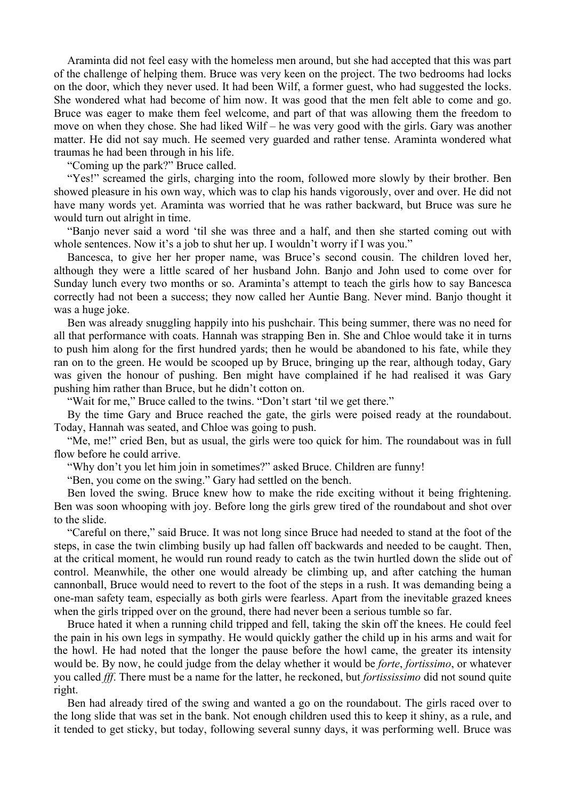Araminta did not feel easy with the homeless men around, but she had accepted that this was part of the challenge of helping them. Bruce was very keen on the project. The two bedrooms had locks on the door, which they never used. It had been Wilf, a former guest, who had suggested the locks. She wondered what had become of him now. It was good that the men felt able to come and go. Bruce was eager to make them feel welcome, and part of that was allowing them the freedom to move on when they chose. She had liked Wilf – he was very good with the girls. Gary was another matter. He did not say much. He seemed very guarded and rather tense. Araminta wondered what traumas he had been through in his life.

"Coming up the park?" Bruce called.

"Yes!" screamed the girls, charging into the room, followed more slowly by their brother. Ben showed pleasure in his own way, which was to clap his hands vigorously, over and over. He did not have many words yet. Araminta was worried that he was rather backward, but Bruce was sure he would turn out alright in time.

"Banjo never said a word 'til she was three and a half, and then she started coming out with whole sentences. Now it's a job to shut her up. I wouldn't worry if I was you."

Bancesca, to give her her proper name, was Bruce's second cousin. The children loved her, although they were a little scared of her husband John. Banjo and John used to come over for Sunday lunch every two months or so. Araminta's attempt to teach the girls how to say Bancesca correctly had not been a success; they now called her Auntie Bang. Never mind. Banjo thought it was a huge joke.

Ben was already snuggling happily into his pushchair. This being summer, there was no need for all that performance with coats. Hannah was strapping Ben in. She and Chloe would take it in turns to push him along for the first hundred yards; then he would be abandoned to his fate, while they ran on to the green. He would be scooped up by Bruce, bringing up the rear, although today, Gary was given the honour of pushing. Ben might have complained if he had realised it was Gary pushing him rather than Bruce, but he didn't cotton on.

"Wait for me," Bruce called to the twins. "Don't start 'til we get there."

By the time Gary and Bruce reached the gate, the girls were poised ready at the roundabout. Today, Hannah was seated, and Chloe was going to push.

"Me, me!" cried Ben, but as usual, the girls were too quick for him. The roundabout was in full flow before he could arrive.

"Why don't you let him join in sometimes?" asked Bruce. Children are funny!

"Ben, you come on the swing." Gary had settled on the bench.

Ben loved the swing. Bruce knew how to make the ride exciting without it being frightening. Ben was soon whooping with joy. Before long the girls grew tired of the roundabout and shot over to the slide.

"Careful on there," said Bruce. It was not long since Bruce had needed to stand at the foot of the steps, in case the twin climbing busily up had fallen off backwards and needed to be caught. Then, at the critical moment, he would run round ready to catch as the twin hurtled down the slide out of control. Meanwhile, the other one would already be climbing up, and after catching the human cannonball, Bruce would need to revert to the foot of the steps in a rush. It was demanding being a one-man safety team, especially as both girls were fearless. Apart from the inevitable grazed knees when the girls tripped over on the ground, there had never been a serious tumble so far.

Bruce hated it when a running child tripped and fell, taking the skin off the knees. He could feel the pain in his own legs in sympathy. He would quickly gather the child up in his arms and wait for the howl. He had noted that the longer the pause before the howl came, the greater its intensity would be. By now, he could judge from the delay whether it would be *forte*, *fortissimo*, or whatever you called *fff*. There must be a name for the latter, he reckoned, but *fortississimo* did not sound quite right.

Ben had already tired of the swing and wanted a go on the roundabout. The girls raced over to the long slide that was set in the bank. Not enough children used this to keep it shiny, as a rule, and it tended to get sticky, but today, following several sunny days, it was performing well. Bruce was